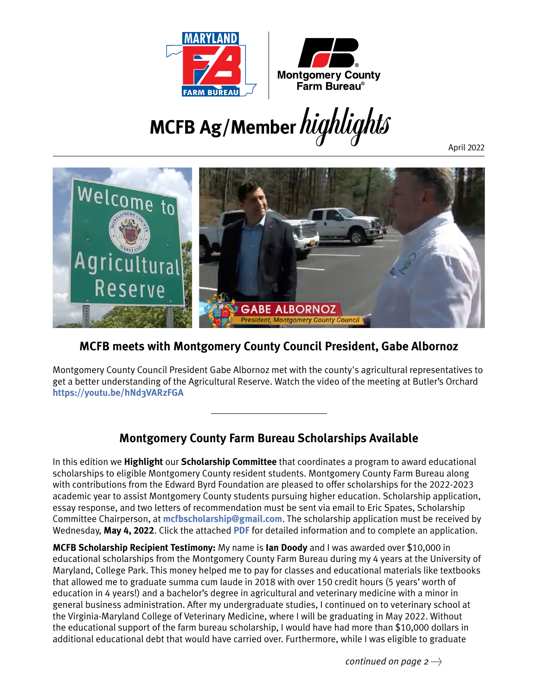

**MCFB Ag/Member**highlights

April 2022



#### **MCFB meets with Montgomery County Council President, Gabe Albornoz**

Montgomery County Council President Gabe Albornoz met with the county's agricultural representatives to get a better understanding of the Agricultural Reserve. Watch the video of the meeting at Butler's Orchard **<https://youtu.be/hNd3VARzFGA>**

### **Montgomery County Farm Bureau Scholarships Available**

In this edition we **Highlight** our **Scholarship Committee** that coordinates a program to award educational scholarships to eligible Montgomery County resident students. Montgomery County Farm Bureau along with contributions from the Edward Byrd Foundation are pleased to offer scholarships for the 2022-2023 academic year to assist Montgomery County students pursuing higher education. Scholarship application, essay response, and two letters of recommendation must be sent via email to Eric Spates, Scholarship Committee Chairperson, at **[mcfbscholarship@gmail.com](mailto:mcfbscholarship%40gmail.com?subject=)**. The scholarship application must be received by Wednesday, **May 4, 2022**. Click the attached **[PDF](https://www.mdfarmbureau.com/wp-content/uploads/2022/04/2022MCFBScholarshipApplication3.31.2022.pdf)** for detailed information and to complete an application.

**MCFB Scholarship Recipient Testimony:** My name is **Ian Doody** and I was awarded over \$10,000 in educational scholarships from the Montgomery County Farm Bureau during my 4 years at the University of Maryland, College Park. This money helped me to pay for classes and educational materials like textbooks that allowed me to graduate summa cum laude in 2018 with over 150 credit hours (5 years' worth of education in 4 years!) and a bachelor's degree in agricultural and veterinary medicine with a minor in general business administration. After my undergraduate studies, I continued on to veterinary school at the Virginia-Maryland College of Veterinary Medicine, where I will be graduating in May 2022. Without the educational support of the farm bureau scholarship, I would have had more than \$10,000 dollars in additional educational debt that would have carried over. Furthermore, while I was eligible to graduate